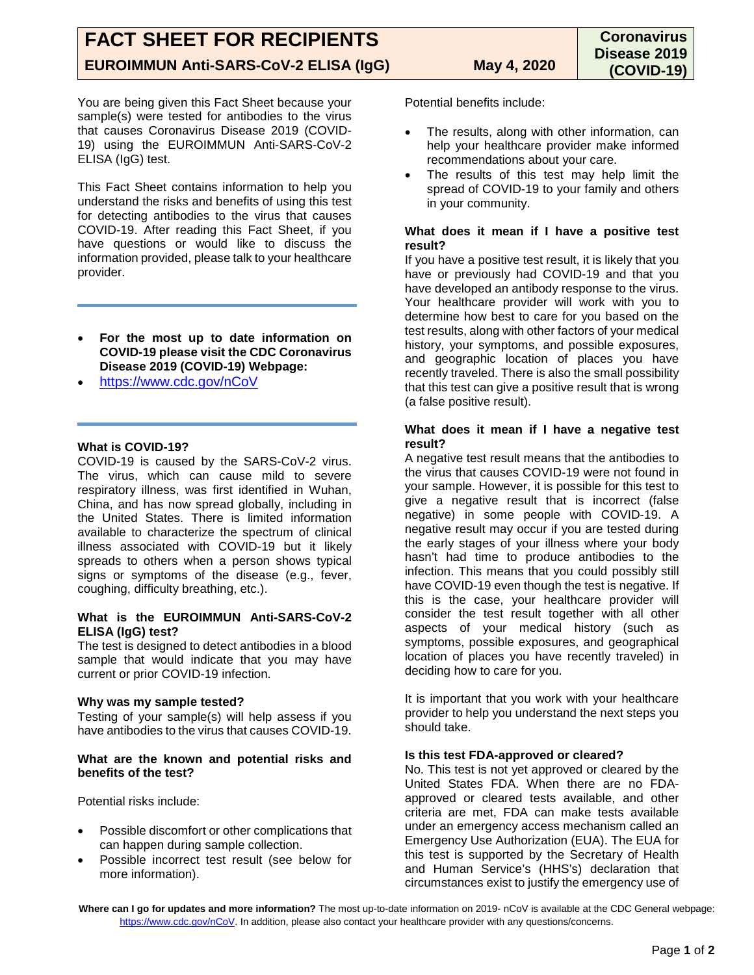You are being given this Fact Sheet because your sample(s) were tested for antibodies to the virus that causes Coronavirus Disease 2019 (COVID-19) using the EUROIMMUN Anti-SARS-CoV-2 ELISA (IgG) test.

This Fact Sheet contains information to help you understand the risks and benefits of using this test for detecting antibodies to the virus that causes COVID-19. After reading this Fact Sheet, if you have questions or would like to discuss the information provided, please talk to your healthcare provider.

- **For the most up to date information on COVID-19 please visit the CDC Coronavirus Disease 2019 (COVID-19) Webpage:**
- <https://www.cdc.gov/nCoV>

# **What is COVID-19?**

COVID-19 is caused by the SARS-CoV-2 virus. The virus, which can cause mild to severe respiratory illness, was first identified in Wuhan, China, and has now spread globally, including in the United States. There is limited information available to characterize the spectrum of clinical illness associated with COVID-19 but it likely spreads to others when a person shows typical signs or symptoms of the disease (e.g., fever, coughing, difficulty breathing, etc.).

### **What is the EUROIMMUN Anti-SARS-CoV-2 ELISA (IgG) test?**

The test is designed to detect antibodies in a blood sample that would indicate that you may have current or prior COVID-19 infection.

### **Why was my sample tested?**

Testing of your sample(s) will help assess if you have antibodies to the virus that causes COVID-19.

#### **What are the known and potential risks and benefits of the test?**

Potential risks include:

- Possible discomfort or other complications that can happen during sample collection.
- Possible incorrect test result (see below for more information).

Potential benefits include:

- The results, along with other information, can help your healthcare provider make informed recommendations about your care.
- The results of this test may help limit the spread of COVID-19 to your family and others in your community.

## **What does it mean if I have a positive test result?**

If you have a positive test result, it is likely that you have or previously had COVID-19 and that you have developed an antibody response to the virus. Your healthcare provider will work with you to determine how best to care for you based on the test results, along with other factors of your medical history, your symptoms, and possible exposures, and geographic location of places you have recently traveled. There is also the small possibility that this test can give a positive result that is wrong (a false positive result).

## **What does it mean if I have a negative test result?**

A negative test result means that the antibodies to the virus that causes COVID-19 were not found in your sample. However, it is possible for this test to give a negative result that is incorrect (false negative) in some people with COVID-19. A negative result may occur if you are tested during the early stages of your illness where your body hasn't had time to produce antibodies to the infection. This means that you could possibly still have COVID-19 even though the test is negative. If this is the case, your healthcare provider will consider the test result together with all other aspects of your medical history (such as symptoms, possible exposures, and geographical location of places you have recently traveled) in deciding how to care for you.

It is important that you work with your healthcare provider to help you understand the next steps you should take.

### **Is this test FDA-approved or cleared?**

No. This test is not yet approved or cleared by the United States FDA. When there are no FDAapproved or cleared tests available, and other criteria are met, FDA can make tests available under an emergency access mechanism called an Emergency Use Authorization (EUA). The EUA for this test is supported by the Secretary of Health and Human Service's (HHS's) declaration that circumstances exist to justify the emergency use of

**Where can I go for updates and more information?** The most up-to-date information on 2019- nCoV is available at the CDC General webpage: [https://www.cdc.gov/nCoV.](https://www.cdc.gov/nCoV) In addition, please also contact your healthcare provider with any questions/concerns.